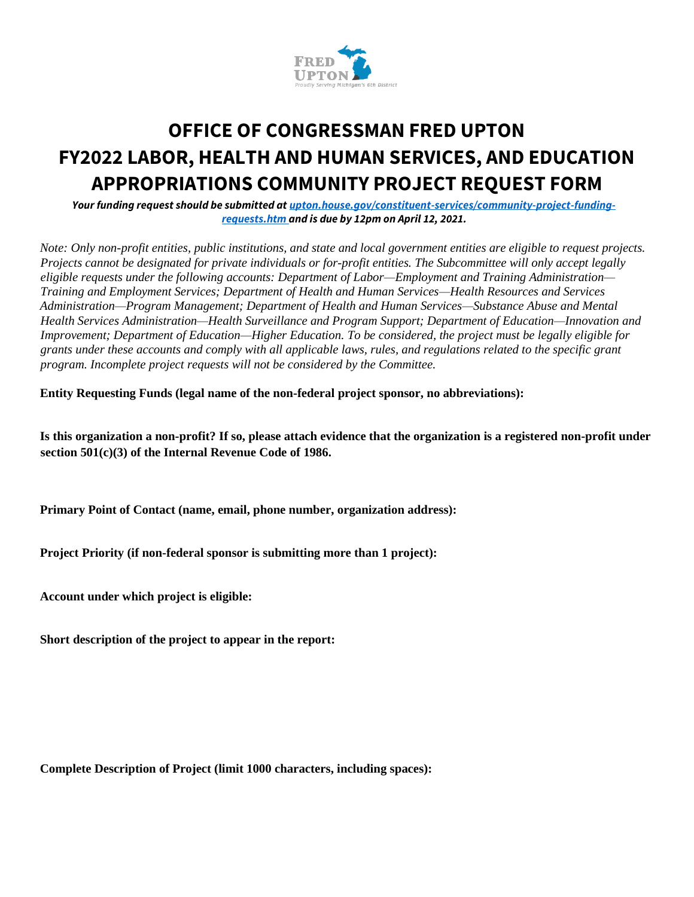

# **OFFICE OF CONGRESSMAN FRED UPTON FY2022 LABOR, HEALTH AND HUMAN SERVICES, AND EDUCATION APPROPRIATIONS COMMUNITY PROJECT REQUEST FORM**

*Your funding request should be submitted at upton.house.gov/constituent-services/community-project-fundingrequests.htm and is due by 12pm on April 12, 2021.*

*Note: Only non-profit entities, public institutions, and state and local government entities are eligible to request projects. Projects cannot be designated for private individuals or for-profit entities. The Subcommittee will only accept legally eligible requests under the following accounts: Department of Labor—Employment and Training Administration— Training and Employment Services; Department of Health and Human Services—Health Resources and Services Administration—Program Management; Department of Health and Human Services—Substance Abuse and Mental Health Services Administration—Health Surveillance and Program Support; Department of Education—Innovation and Improvement; Department of Education—Higher Education. To be considered, the project must be legally eligible for grants under these accounts and comply with all applicable laws, rules, and regulations related to the specific grant program. Incomplete project requests will not be considered by the Committee.* 

**Entity Requesting Funds (legal name of the non-federal project sponsor, no abbreviations):** 

**Is this organization a non-profit? If so, please attach evidence that the organization is a registered non-profit under section 501(c)(3) of the Internal Revenue Code of 1986.** 

**Primary Point of Contact (name, email, phone number, organization address):** 

**Project Priority (if non-federal sponsor is submitting more than 1 project):** 

**Account under which project is eligible:** 

**Short description of the project to appear in the report:** 

**Complete Description of Project (limit 1000 characters, including spaces):**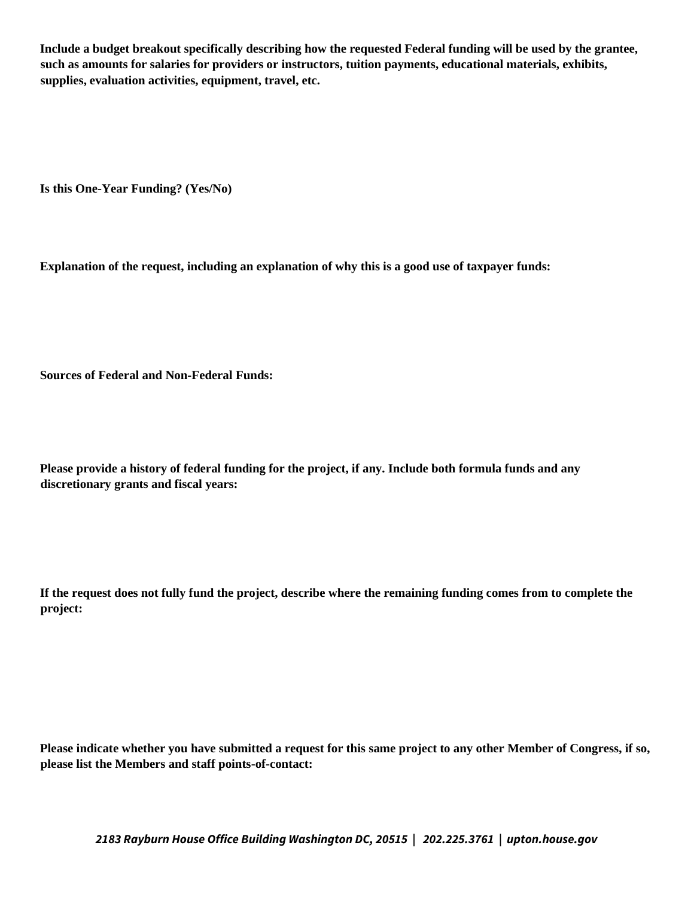**Include a budget breakout specifically describing how the requested Federal funding will be used by the grantee, such as amounts for salaries for providers or instructors, tuition payments, educational materials, exhibits, supplies, evaluation activities, equipment, travel, etc.** 

**Is this One-Year Funding? (Yes/No)** 

**Explanation of the request, including an explanation of why this is a good use of taxpayer funds:** 

**Sources of Federal and Non-Federal Funds:** 

**Please provide a history of federal funding for the project, if any. Include both formula funds and any discretionary grants and fiscal years:** 

**If the request does not fully fund the project, describe where the remaining funding comes from to complete the project:** 

**Please indicate whether you have submitted a request for this same project to any other Member of Congress, if so, please list the Members and staff points-of-contact:** 

*2183 Rayburn House Office Building Washington DC, 20515 | 202.225.3761 | upton.house.gov*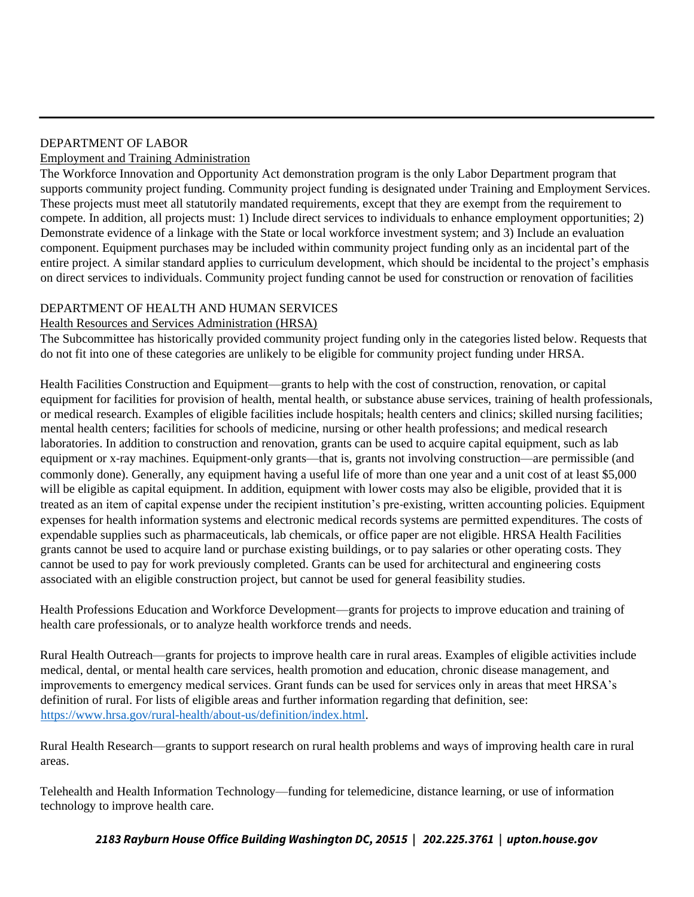### DEPARTMENT OF LABOR Employment and Training Administration

The Workforce Innovation and Opportunity Act demonstration program is the only Labor Department program that supports community project funding. Community project funding is designated under Training and Employment Services. These projects must meet all statutorily mandated requirements, except that they are exempt from the requirement to compete. In addition, all projects must: 1) Include direct services to individuals to enhance employment opportunities; 2) Demonstrate evidence of a linkage with the State or local workforce investment system; and 3) Include an evaluation component. Equipment purchases may be included within community project funding only as an incidental part of the entire project. A similar standard applies to curriculum development, which should be incidental to the project's emphasis on direct services to individuals. Community project funding cannot be used for construction or renovation of facilities

# DEPARTMENT OF HEALTH AND HUMAN SERVICES

## Health Resources and Services Administration (HRSA)

The Subcommittee has historically provided community project funding only in the categories listed below. Requests that do not fit into one of these categories are unlikely to be eligible for community project funding under HRSA.

Health Facilities Construction and Equipment—grants to help with the cost of construction, renovation, or capital equipment for facilities for provision of health, mental health, or substance abuse services, training of health professionals, or medical research. Examples of eligible facilities include hospitals; health centers and clinics; skilled nursing facilities; mental health centers; facilities for schools of medicine, nursing or other health professions; and medical research laboratories. In addition to construction and renovation, grants can be used to acquire capital equipment, such as lab equipment or x-ray machines. Equipment-only grants—that is, grants not involving construction—are permissible (and commonly done). Generally, any equipment having a useful life of more than one year and a unit cost of at least \$5,000 will be eligible as capital equipment. In addition, equipment with lower costs may also be eligible, provided that it is treated as an item of capital expense under the recipient institution's pre-existing, written accounting policies. Equipment expenses for health information systems and electronic medical records systems are permitted expenditures. The costs of expendable supplies such as pharmaceuticals, lab chemicals, or office paper are not eligible. HRSA Health Facilities grants cannot be used to acquire land or purchase existing buildings, or to pay salaries or other operating costs. They cannot be used to pay for work previously completed. Grants can be used for architectural and engineering costs associated with an eligible construction project, but cannot be used for general feasibility studies.

Health Professions Education and Workforce Development—grants for projects to improve education and training of health care professionals, or to analyze health workforce trends and needs.

Rural Health Outreach—grants for projects to improve health care in rural areas. Examples of eligible activities include medical, dental, or mental health care services, health promotion and education, chronic disease management, and improvements to emergency medical services. Grant funds can be used for services only in areas that meet HRSA's definition of rural. For lists of eligible areas and further information regarding that definition, see: https://www.hrsa.gov/rural-health/about-us/definition/index.html.

Rural Health Research—grants to support research on rural health problems and ways of improving health care in rural areas.

Telehealth and Health Information Technology—funding for telemedicine, distance learning, or use of information technology to improve health care.

*2183 Rayburn House Office Building Washington DC, 20515 | 202.225.3761 | upton.house.gov*